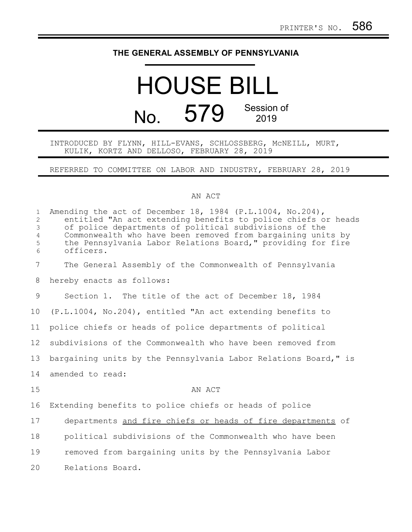## **THE GENERAL ASSEMBLY OF PENNSYLVANIA**

## HOUSE BILL No. 579 Session of 2019

## INTRODUCED BY FLYNN, HILL-EVANS, SCHLOSSBERG, McNEILL, MURT, KULIK, KORTZ AND DELLOSO, FEBRUARY 28, 2019

REFERRED TO COMMITTEE ON LABOR AND INDUSTRY, FEBRUARY 28, 2019

## AN ACT

| $\mathbf 1$<br>$\overline{2}$<br>3<br>$\overline{4}$<br>5<br>6 | Amending the act of December 18, 1984 (P.L.1004, No.204),<br>entitled "An act extending benefits to police chiefs or heads<br>of police departments of political subdivisions of the<br>Commonwealth who have been removed from bargaining units by<br>the Pennsylvania Labor Relations Board," providing for fire<br>officers. |
|----------------------------------------------------------------|---------------------------------------------------------------------------------------------------------------------------------------------------------------------------------------------------------------------------------------------------------------------------------------------------------------------------------|
| $7\overline{ }$                                                | The General Assembly of the Commonwealth of Pennsylvania                                                                                                                                                                                                                                                                        |
| 8                                                              | hereby enacts as follows:                                                                                                                                                                                                                                                                                                       |
| 9                                                              | Section 1. The title of the act of December 18, 1984                                                                                                                                                                                                                                                                            |
| 10                                                             | (P.L.1004, No.204), entitled "An act extending benefits to                                                                                                                                                                                                                                                                      |
| 11                                                             | police chiefs or heads of police departments of political                                                                                                                                                                                                                                                                       |
| 12                                                             | subdivisions of the Commonwealth who have been removed from                                                                                                                                                                                                                                                                     |
| 13                                                             | bargaining units by the Pennsylvania Labor Relations Board," is                                                                                                                                                                                                                                                                 |
| 14                                                             | amended to read:                                                                                                                                                                                                                                                                                                                |
| 15                                                             | AN ACT                                                                                                                                                                                                                                                                                                                          |
| 16                                                             | Extending benefits to police chiefs or heads of police                                                                                                                                                                                                                                                                          |
| 17                                                             | departments and fire chiefs or heads of fire departments of                                                                                                                                                                                                                                                                     |
| 18                                                             | political subdivisions of the Commonwealth who have been                                                                                                                                                                                                                                                                        |
| 19                                                             | removed from bargaining units by the Pennsylvania Labor                                                                                                                                                                                                                                                                         |
| 20                                                             | Relations Board.                                                                                                                                                                                                                                                                                                                |